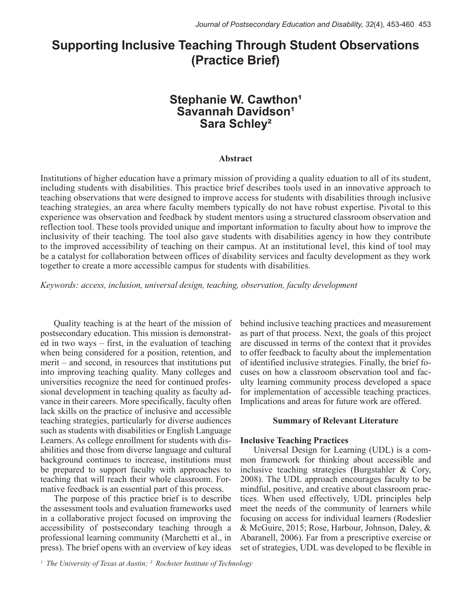# **Supporting Inclusive Teaching Through Student Observations (Practice Brief)**

### **Stephanie W. Cawthon<sup>1</sup> Savannah Davidson<sup>1</sup> Sara Schley²**

#### **Abstract**

Institutions of higher education have a primary mission of providing a quality eduation to all of its student, including students with disabilities. This practice brief describes tools used in an innovative approach to teaching observations that were designed to improve access for students with disabilities through inclusive teaching strategies, an area where faculty members typically do not have robust expertise. Pivotal to this experience was observation and feedback by student mentors using a structured classroom observation and reflection tool. These tools provided unique and important information to faculty about how to improve the inclusivity of their teaching. The tool also gave students with disabilities agency in how they contribute to the improved accessibility of teaching on their campus. At an institutional level, this kind of tool may be a catalyst for collaboration between offices of disability services and faculty development as they work together to create a more accessible campus for students with disabilities.

*Keywords: access, inclusion, universal design, teaching, observation, faculty development* 

Quality teaching is at the heart of the mission of postsecondary education. This mission is demonstrated in two ways – first, in the evaluation of teaching when being considered for a position, retention, and merit – and second, in resources that institutions put into improving teaching quality. Many colleges and universities recognize the need for continued professional development in teaching quality as faculty advance in their careers. More specifically, faculty often lack skills on the practice of inclusive and accessible teaching strategies, particularly for diverse audiences such as students with disabilities or English Language Learners. As college enrollment for students with disabilities and those from diverse language and cultural background continues to increase, institutions must be prepared to support faculty with approaches to teaching that will reach their whole classroom. Formative feedback is an essential part of this process.

The purpose of this practice brief is to describe the assessment tools and evaluation frameworks used in a collaborative project focused on improving the accessibility of postsecondary teaching through a professional learning community (Marchetti et al., in press). The brief opens with an overview of key ideas

behind inclusive teaching practices and measurement as part of that process. Next, the goals of this project are discussed in terms of the context that it provides to offer feedback to faculty about the implementation of identified inclusive strategies. Finally, the brief focuses on how a classroom observation tool and faculty learning community process developed a space for implementation of accessible teaching practices. Implications and areas for future work are offered.

#### **Summary of Relevant Literature**

#### **Inclusive Teaching Practices**

Universal Design for Learning (UDL) is a common framework for thinking about accessible and inclusive teaching strategies (Burgstahler & Cory, 2008). The UDL approach encourages faculty to be mindful, positive, and creative about classroom practices. When used effectively, UDL principles help meet the needs of the community of learners while focusing on access for individual learners (Rodeslier & McGuire, 2015; Rose, Harbour, Johnson, Daley, & Abaranell, 2006). Far from a prescriptive exercise or set of strategies, UDL was developed to be flexible in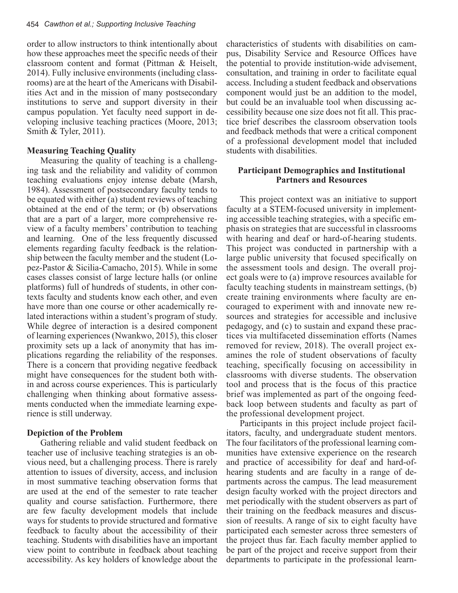order to allow instructors to think intentionally about how these approaches meet the specific needs of their classroom content and format (Pittman & Heiselt, 2014). Fully inclusive environments (including classrooms) are at the heart of the Americans with Disabilities Act and in the mission of many postsecondary institutions to serve and support diversity in their campus population. Yet faculty need support in developing inclusive teaching practices (Moore, 2013; Smith & Tyler, 2011).

#### **Measuring Teaching Quality**

Measuring the quality of teaching is a challenging task and the reliability and validity of common teaching evaluations enjoy intense debate (Marsh, 1984). Assessment of postsecondary faculty tends to be equated with either (a) student reviews of teaching obtained at the end of the term; or (b) observations that are a part of a larger, more comprehensive review of a faculty members' contribution to teaching and learning. One of the less frequently discussed elements regarding faculty feedback is the relationship between the faculty member and the student (Lopez-Pastor & Sicilia-Camacho, 2015). While in some cases classes consist of large lecture halls (or online platforms) full of hundreds of students, in other contexts faculty and students know each other, and even have more than one course or other academically related interactions within a student's program of study. While degree of interaction is a desired component of learning experiences (Nwankwo, 2015), this closer proximity sets up a lack of anonymity that has implications regarding the reliability of the responses. There is a concern that providing negative feedback might have consequences for the student both within and across course experiences. This is particularly challenging when thinking about formative assessments conducted when the immediate learning experience is still underway.

#### **Depiction of the Problem**

Gathering reliable and valid student feedback on teacher use of inclusive teaching strategies is an obvious need, but a challenging process. There is rarely attention to issues of diversity, access, and inclusion in most summative teaching observation forms that are used at the end of the semester to rate teacher quality and course satisfaction. Furthermore, there are few faculty development models that include ways for students to provide structured and formative feedback to faculty about the accessibility of their teaching. Students with disabilities have an important view point to contribute in feedback about teaching accessibility. As key holders of knowledge about the

characteristics of students with disabilities on campus, Disability Service and Resource Offices have the potential to provide institution-wide advisement, consultation, and training in order to facilitate equal access. Including a student feedback and observations component would just be an addition to the model, but could be an invaluable tool when discussing accessibility because one size does not fit all. This practice brief describes the classroom observation tools and feedback methods that were a critical component of a professional development model that included students with disabilities.

#### **Participant Demographics and Institutional Partners and Resources**

This project context was an initiative to support faculty at a STEM-focused university in implementing accessible teaching strategies, with a specific emphasis on strategies that are successful in classrooms with hearing and deaf or hard-of-hearing students. This project was conducted in partnership with a large public university that focused specifically on the assessment tools and design. The overall project goals were to (a) improve resources available for faculty teaching students in mainstream settings, (b) create training environments where faculty are encouraged to experiment with and innovate new resources and strategies for accessible and inclusive pedagogy, and (c) to sustain and expand these practices via multifaceted dissemination efforts (Names removed for review, 2018). The overall project examines the role of student observations of faculty teaching, specifically focusing on accessibility in classrooms with diverse students. The observation tool and process that is the focus of this practice brief was implemented as part of the ongoing feedback loop between students and faculty as part of the professional development project.

Participants in this project include project facilitators, faculty, and undergraduate student mentors. The four facilitators of the professional learning communities have extensive experience on the research and practice of accessibility for deaf and hard-ofhearing students and are faculty in a range of departments across the campus. The lead measurement design faculty worked with the project directors and met periodically with the student observers as part of their training on the feedback measures and discussion of reesults. A range of six to eight faculty have participated each semester across three semesters of the project thus far. Each faculty member applied to be part of the project and receive support from their departments to participate in the professional learn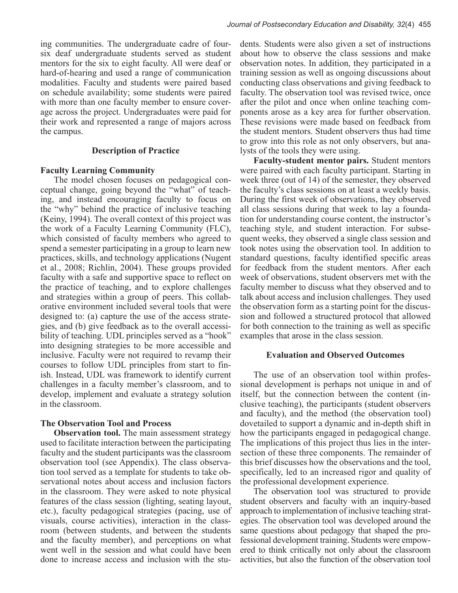ing communities. The undergraduate cadre of foursix deaf undergraduate students served as student mentors for the six to eight faculty. All were deaf or hard-of-hearing and used a range of communication modalities. Faculty and students were paired based on schedule availability; some students were paired with more than one faculty member to ensure coverage across the project. Undergraduates were paid for their work and represented a range of majors across the campus.

#### **Description of Practice**

#### **Faculty Learning Community**

The model chosen focuses on pedagogical conceptual change, going beyond the "what" of teaching, and instead encouraging faculty to focus on the "why" behind the practice of inclusive teaching (Keiny, 1994). The overall context of this project was the work of a Faculty Learning Community (FLC), which consisted of faculty members who agreed to spend a semester participating in a group to learn new practices, skills, and technology applications (Nugent et al., 2008; Richlin, 2004). These groups provided faculty with a safe and supportive space to reflect on the practice of teaching, and to explore challenges and strategies within a group of peers. This collaborative environment included several tools that were designed to: (a) capture the use of the access strategies, and (b) give feedback as to the overall accessibility of teaching. UDL principles served as a "hook" into designing strategies to be more accessible and inclusive. Faculty were not required to revamp their courses to follow UDL principles from start to finish. Instead, UDL was framework to identify current challenges in a faculty member's classroom, and to develop, implement and evaluate a strategy solution in the classroom.

#### **The Observation Tool and Process**

**Observation tool.** The main assessment strategy used to facilitate interaction between the participating faculty and the student participants was the classroom observation tool (see Appendix). The class observation tool served as a template for students to take observational notes about access and inclusion factors in the classroom. They were asked to note physical features of the class session (lighting, seating layout, etc.), faculty pedagogical strategies (pacing, use of visuals, course activities), interaction in the classroom (between students, and between the students and the faculty member), and perceptions on what went well in the session and what could have been done to increase access and inclusion with the stu-

dents. Students were also given a set of instructions about how to observe the class sessions and make observation notes. In addition, they participated in a training session as well as ongoing discussions about conducting class observations and giving feedback to faculty. The observation tool was revised twice, once after the pilot and once when online teaching components arose as a key area for further observation. These revisions were made based on feedback from the student mentors. Student observers thus had time to grow into this role as not only observers, but analysts of the tools they were using.

**Faculty-student mentor pairs.** Student mentors were paired with each faculty participant. Starting in week three (out of 14) of the semester, they observed the faculty's class sessions on at least a weekly basis. During the first week of observations, they observed all class sessions during that week to lay a foundation for understanding course content, the instructor's teaching style, and student interaction. For subsequent weeks, they observed a single class session and took notes using the observation tool. In addition to standard questions, faculty identified specific areas for feedback from the student mentors. After each week of observations, student observers met with the faculty member to discuss what they observed and to talk about access and inclusion challenges. They used the observation form as a starting point for the discussion and followed a structured protocol that allowed for both connection to the training as well as specific examples that arose in the class session.

#### **Evaluation and Observed Outcomes**

The use of an observation tool within professional development is perhaps not unique in and of itself, but the connection between the content (inclusive teaching), the participants (student observers and faculty), and the method (the observation tool) dovetailed to support a dynamic and in-depth shift in how the participants engaged in pedagogical change. The implications of this project thus lies in the intersection of these three components. The remainder of this brief discusses how the observations and the tool, specifically, led to an increased rigor and quality of the professional development experience.

The observation tool was structured to provide student observers and faculty with an inquiry-based approach to implementation of inclusive teaching strategies. The observation tool was developed around the same questions about pedagogy that shaped the professional development training. Students were empowered to think critically not only about the classroom activities, but also the function of the observation tool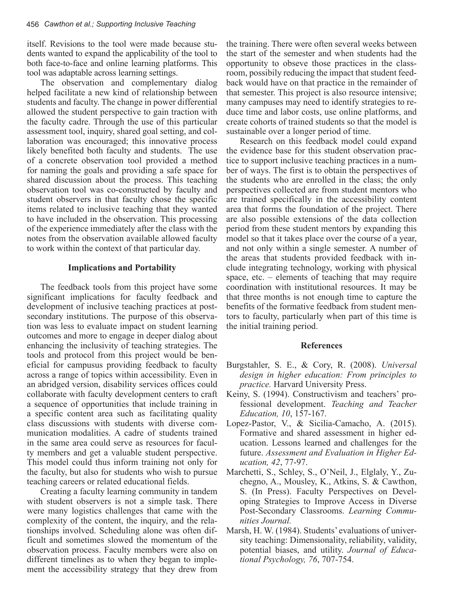itself. Revisions to the tool were made because students wanted to expand the applicability of the tool to both face-to-face and online learning platforms. This tool was adaptable across learning settings.

The observation and complementary dialog helped facilitate a new kind of relationship between students and faculty. The change in power differential allowed the student perspective to gain traction with the faculty cadre. Through the use of this particular assessment tool, inquiry, shared goal setting, and collaboration was encouraged; this innovative process likely benefited both faculty and students. The use of a concrete observation tool provided a method for naming the goals and providing a safe space for shared discussion about the process. This teaching observation tool was co-constructed by faculty and student observers in that faculty chose the specific items related to inclusive teaching that they wanted to have included in the observation. This processing of the experience immediately after the class with the notes from the observation available allowed faculty to work within the context of that particular day.

#### **Implications and Portability**

The feedback tools from this project have some significant implications for faculty feedback and development of inclusive teaching practices at postsecondary institutions. The purpose of this observation was less to evaluate impact on student learning outcomes and more to engage in deeper dialog about enhancing the inclusivity of teaching strategies. The tools and protocol from this project would be beneficial for campusus providing feedback to faculty across a range of topics within accessibility. Even in an abridged version, disability services offices could collaborate with faculty development centers to craft a sequence of opportunities that include training in a specific content area such as facilitating quality class discussions with students with diverse communication modalities. A cadre of students trained in the same area could serve as resources for faculty members and get a valuable student perspective. This model could thus inform training not only for the faculty, but also for students who wish to pursue teaching careers or related educational fields.

Creating a faculty learning community in tandem with student observers is not a simple task. There were many logistics challenges that came with the complexity of the content, the inquiry, and the relationships involved. Scheduling alone was often difficult and sometimes slowed the momentum of the observation process. Faculty members were also on different timelines as to when they began to implement the accessibility strategy that they drew from the training. There were often several weeks between the start of the semester and when students had the opportunity to obseve those practices in the classroom, possibily reducing the impact that student feedback would have on that practice in the remainder of that semester. This project is also resource intensive; many campuses may need to identify strategies to reduce time and labor costs, use online platforms, and create cohorts of trained students so that the model is sustainable over a longer period of time.

Research on this feedback model could expand the evidence base for this student observation practice to support inclusive teaching practices in a number of ways. The first is to obtain the perspectives of the students who are enrolled in the class; the only perspectives collected are from student mentors who are trained specifically in the accessibility content area that forms the foundation of the project. There are also possible extensions of the data collection period from these student mentors by expanding this model so that it takes place over the course of a year, and not only within a single semester. A number of the areas that students provided feedback with include integrating technology, working with physical space, etc. – elements of teaching that may require coordination with institutional resources. It may be that three months is not enough time to capture the benefits of the formative feedback from student mentors to faculty, particularly when part of this time is the initial training period.

#### **References**

- Burgstahler, S. E., & Cory, R. (2008). *Universal design in higher education: From principles to practice.* Harvard University Press.
- Keiny, S. (1994). Constructivism and teachers' professional development. *Teaching and Teacher Education, 10*, 157-167.
- Lopez-Pastor, V., & Sicilia-Camacho, A. (2015). Formative and shared assessment in higher education. Lessons learned and challenges for the future. *Assessment and Evaluation in Higher Education, 42*, 77-97.
- Marchetti, S., Schley, S., O'Neil, J., Elglaly, Y., Zuchegno, A., Mousley, K., Atkins, S. & Cawthon, S. (In Press). Faculty Perspectives on Developing Strategies to Improve Access in Diverse Post-Secondary Classrooms. *Learning Communities Journal.*
- Marsh, H. W. (1984). Students' evaluations of university teaching: Dimensionality, reliability, validity, potential biases, and utility. *Journal of Educational Psychology, 76*, 707-754.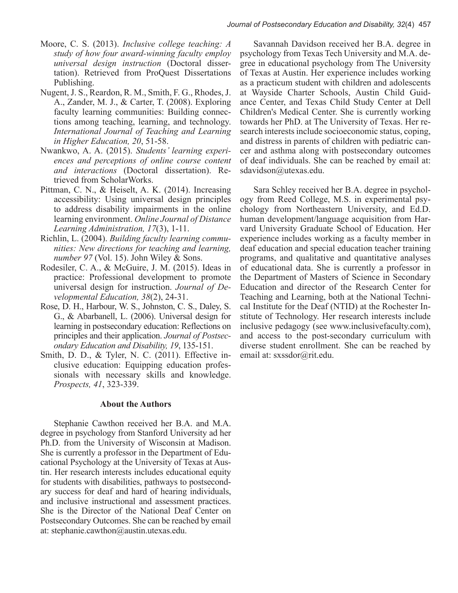- Moore, C. S. (2013). *Inclusive college teaching: A study of how four award-winning faculty employ universal design instruction* (Doctoral dissertation). Retrieved from ProQuest Dissertations Publishing.
- Nugent, J. S., Reardon, R. M., Smith, F. G., Rhodes, J. A., Zander, M. J., & Carter, T. (2008). Exploring faculty learning communities: Building connections among teaching, learning, and technology. *International Journal of Teaching and Learning in Higher Education, 20*, 51-58.
- Nwankwo, A. A. (2015). *Students' learning experiences and perceptions of online course content and interactions* (Doctoral dissertation). Retrieved from ScholarWorks.
- Pittman, C. N., & Heiselt, A. K. (2014). Increasing accessibility: Using universal design principles to address disability impairments in the online learning environment. *Online Journal of Distance Learning Administration, 17*(3), 1-11.
- Richlin, L. (2004). *Building faculty learning communities: New directions for teaching and learning, number 97* (Vol. 15). John Wiley & Sons.
- Rodesiler, C. A., & McGuire, J. M. (2015). Ideas in practice: Professional development to promote universal design for instruction. *Journal of Developmental Education, 38*(2), 24-31.
- Rose, D. H., Harbour, W. S., Johnston, C. S., Daley, S. G., & Abarbanell, L. (2006). Universal design for learning in postsecondary education: Reflections on principles and their application. *Journal of Postsecondary Education and Disability, 19*, 135-151.
- Smith, D. D., & Tyler, N. C. (2011). Effective inclusive education: Equipping education professionals with necessary skills and knowledge. *Prospects, 41*, 323-339.

#### **About the Authors**

Stephanie Cawthon received her B.A. and M.A. degree in psychology from Stanford University ad her Ph.D. from the University of Wisconsin at Madison. She is currently a professor in the Department of Educational Psychology at the University of Texas at Austin. Her research interests includes educational equity for students with disabilities, pathways to postsecondary success for deaf and hard of hearing individuals, and inclusive instructional and assessment practices. She is the Director of the National Deaf Center on Postsecondary Outcomes. She can be reached by email at: stephanie.cawthon@austin.utexas.edu.

Savannah Davidson received her B.A. degree in psychology from Texas Tech University and M.A. degree in educational psychology from The University of Texas at Austin. Her experience includes working as a practicum student with children and adolescents at Wayside Charter Schools, Austin Child Guidance Center, and Texas Child Study Center at Dell Children's Medical Center. She is currently working towards her PhD. at The University of Texas. Her research interests include socioeconomic status, coping, and distress in parents of children with pediatric cancer and asthma along with postsecondary outcomes of deaf individuals. She can be reached by email at: sdavidson@utexas.edu.

Sara Schley received her B.A. degree in psychology from Reed College, M.S. in experimental psychology from Northeastern University, and Ed.D. human development/language acquisition from Harvard University Graduate School of Education. Her experience includes working as a faculty member in deaf education and special education teacher training programs, and qualitative and quantitative analyses of educational data. She is currently a professor in the Department of Masters of Science in Secondary Education and director of the Research Center for Teaching and Learning, both at the National Technical Institute for the Deaf (NTID) at the Rochester Institute of Technology. Her research interests include inclusive pedagogy (see www.inclusivefaculty.com), and access to the post-secondary curriculum with diverse student enrollment. She can be reached by email at: sxssdor@rit.edu.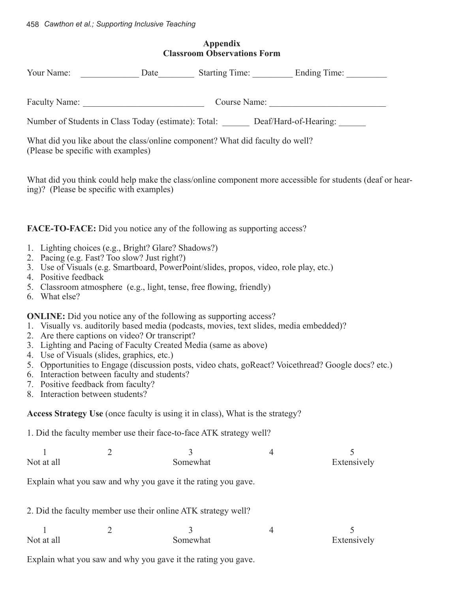| <b>Appendix</b><br><b>Classroom Observations Form</b>                                                                                                                                                                                                                                                                                                                                                                                                            |                                         |               |   |                                                                                                           |  |  |  |
|------------------------------------------------------------------------------------------------------------------------------------------------------------------------------------------------------------------------------------------------------------------------------------------------------------------------------------------------------------------------------------------------------------------------------------------------------------------|-----------------------------------------|---------------|---|-----------------------------------------------------------------------------------------------------------|--|--|--|
|                                                                                                                                                                                                                                                                                                                                                                                                                                                                  |                                         |               |   |                                                                                                           |  |  |  |
|                                                                                                                                                                                                                                                                                                                                                                                                                                                                  | Faculty Name: Course Name: Course Name: |               |   |                                                                                                           |  |  |  |
| Number of Students in Class Today (estimate): Total: ______ Deaf/Hard-of-Hearing: _____                                                                                                                                                                                                                                                                                                                                                                          |                                         |               |   |                                                                                                           |  |  |  |
| What did you like about the class/online component? What did faculty do well?<br>(Please be specific with examples)                                                                                                                                                                                                                                                                                                                                              |                                         |               |   |                                                                                                           |  |  |  |
| ing)? (Please be specific with examples)                                                                                                                                                                                                                                                                                                                                                                                                                         |                                         |               |   | What did you think could help make the class/online component more accessible for students (deaf or hear- |  |  |  |
| <b>FACE-TO-FACE:</b> Did you notice any of the following as supporting access?                                                                                                                                                                                                                                                                                                                                                                                   |                                         |               |   |                                                                                                           |  |  |  |
| 1. Lighting choices (e.g., Bright? Glare? Shadows?)<br>2. Pacing (e.g. Fast? Too slow? Just right?)<br>3. Use of Visuals (e.g. Smartboard, PowerPoint/slides, propos, video, role play, etc.)<br>4. Positive feedback<br>5. Classroom atmosphere (e.g., light, tense, free flowing, friendly)<br>6. What else?                                                                                                                                                   |                                         |               |   |                                                                                                           |  |  |  |
| <b>ONLINE:</b> Did you notice any of the following as supporting access?<br>1. Visually vs. auditorily based media (podcasts, movies, text slides, media embedded)?<br>2. Are there captions on video? Or transcript?<br>3. Lighting and Pacing of Faculty Created Media (same as above)<br>4. Use of Visuals (slides, graphics, etc.)<br>6. Interaction between faculty and students?<br>7. Positive feedback from faculty?<br>8. Interaction between students? |                                         |               |   | 5. Opportunities to Engage (discussion posts, video chats, goReact? Voicethread? Google docs? etc.)       |  |  |  |
| Access Strategy Use (once faculty is using it in class), What is the strategy?                                                                                                                                                                                                                                                                                                                                                                                   |                                         |               |   |                                                                                                           |  |  |  |
| 1. Did the faculty member use their face-to-face ATK strategy well?                                                                                                                                                                                                                                                                                                                                                                                              |                                         |               |   |                                                                                                           |  |  |  |
| 1<br>Not at all                                                                                                                                                                                                                                                                                                                                                                                                                                                  | $\overline{2}$                          | 3<br>Somewhat | 4 | 5<br>Extensively                                                                                          |  |  |  |
| Explain what you saw and why you gave it the rating you gave.                                                                                                                                                                                                                                                                                                                                                                                                    |                                         |               |   |                                                                                                           |  |  |  |
| 2. Did the faculty member use their online ATK strategy well?                                                                                                                                                                                                                                                                                                                                                                                                    |                                         |               |   |                                                                                                           |  |  |  |
| Not at all                                                                                                                                                                                                                                                                                                                                                                                                                                                       | $\overline{2}$                          | 3<br>Somewhat | 4 | 5<br>Extensively                                                                                          |  |  |  |
| Explain what you saw and why you gave it the rating you gave.                                                                                                                                                                                                                                                                                                                                                                                                    |                                         |               |   |                                                                                                           |  |  |  |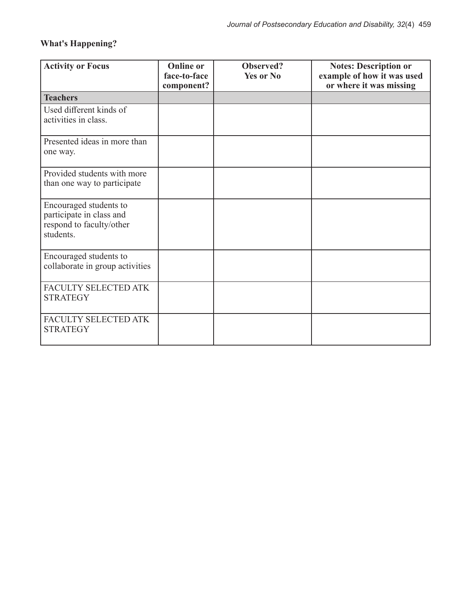## **What's Happening?**

| <b>Activity or Focus</b>                                                                    | <b>Online or</b><br>face-to-face<br>component? | Observed?<br><b>Yes or No</b> | <b>Notes: Description or</b><br>example of how it was used<br>or where it was missing |
|---------------------------------------------------------------------------------------------|------------------------------------------------|-------------------------------|---------------------------------------------------------------------------------------|
| <b>Teachers</b>                                                                             |                                                |                               |                                                                                       |
| Used different kinds of<br>activities in class.                                             |                                                |                               |                                                                                       |
| Presented ideas in more than<br>one way.                                                    |                                                |                               |                                                                                       |
| Provided students with more<br>than one way to participate                                  |                                                |                               |                                                                                       |
| Encouraged students to<br>participate in class and<br>respond to faculty/other<br>students. |                                                |                               |                                                                                       |
| Encouraged students to<br>collaborate in group activities                                   |                                                |                               |                                                                                       |
| FACULTY SELECTED ATK<br><b>STRATEGY</b>                                                     |                                                |                               |                                                                                       |
| FACULTY SELECTED ATK<br><b>STRATEGY</b>                                                     |                                                |                               |                                                                                       |